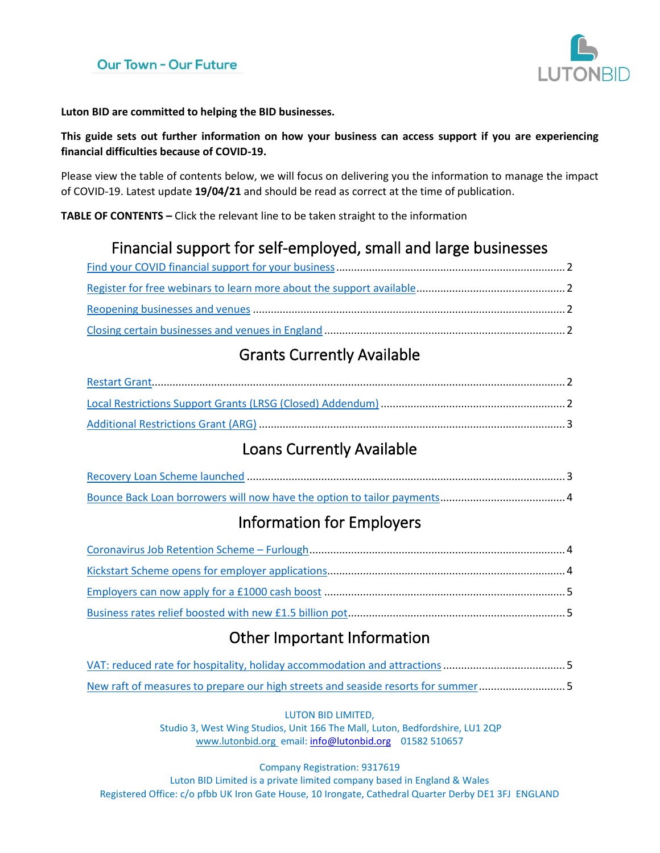

**Luton BID are committed to helping the BID businesses.**

**This guide sets out further information on how your business can access support if you are experiencing financial difficulties because of COVID-19.** 

Please view the table of contents below, we will focus on delivering you the information to manage the impact of COVID-19. Latest update **19/04/21** and should be read as correct at the time of publication.

**TABLE OF CONTENTS –** Click the relevant line to be taken straight to the information

# Financial support for self-employed, small and large businesses

# Grants Currently Available

# Loans Currently Available

# Information for Employers

# Other Important Information

| New raft of measures to prepare our high streets and seaside resorts for summer5 |  |
|----------------------------------------------------------------------------------|--|

LUTON BID LIMITED,

Studio 3, West Wing Studios, Unit 166 The Mall, Luton, Bedfordshire, LU1 2QP [www.lutonbid.org](http://www.lutonbid.org/) email: [info@lutonbid.org](mailto:info@lutonbid.org) 01582 510657

Company Registration: 9317619

Luton BID Limited is a private limited company based in England & Wales Registered Office: c/o pfbb UK Iron Gate House, 10 Irongate, Cathedral Quarter Derby DE1 3FJ ENGLAND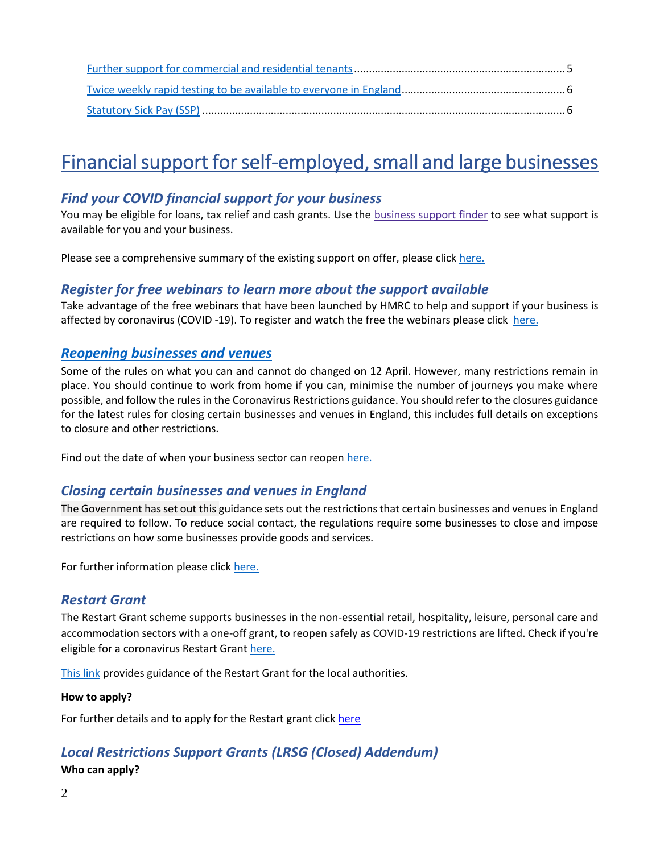# Financial support for self-employed, small and large businesses

# <span id="page-1-0"></span>*Find your COVID financial support for your business*

You may be eligible for loans, tax relief and cash grants. Use the [business](https://www.gov.uk/business-coronavirus-support-finder) support finder to see what support is available for you and your business.

Please see a comprehensive summary of the existing support on offer, please click [here.](https://www.gov.uk/government/publications/summary-of-existing-economic-support/summary-of-existing-economic-support)

## <span id="page-1-1"></span>*Register for free webinars to learn more about the support available*

Take advantage of the free webinars that have been launched by HMRC to help and support if your business is affected by coronavirus (COVID -19). To register and watch the free the webinars please click [here.](https://www.gov.uk/guidance/help-and-support-if-your-business-is-affected-by-coronavirus-covid-19?utm_source=a4b7c6f4-7063-4d88-957b-b68d6480a86d&utm_medium=email&utm_campaign=govuk-notifications&utm_content=daily)

## <span id="page-1-2"></span>*Reopening businesses and venues*

Some of the rules on what you can and cannot do changed on 12 April. However, many restrictions remain in place. You should continue to work from home if you can, minimise the number of journeys you make where possible, and follow the rules in the Coronavirus Restrictions guidance. You should refer to the closures guidance for the latest rules for closing certain businesses and venues in England, this includes full details on exceptions to closure and other restrictions.

Find out the date of when your business sector can reopen [here.](https://www.gov.uk/government/publications/reopening-businesses-and-venues-in-england/reopening-businesses-and-venues)

# <span id="page-1-3"></span>*Closing certain businesses and venues in England*

The Government has set out this guidance sets out the restrictions that certain businesses and venues in England are required to follow. To reduce social contact, the regulations require some businesses to close and impose restrictions on how some businesses provide goods and services.

For further information please click [here.](https://www.gov.uk/government/publications/further-businesses-and-premises-to-close/closing-certain-businesses-and-venues-in-england)

#### <span id="page-1-4"></span>*Restart Grant*

The Restart Grant scheme supports businesses in the non-essential retail, hospitality, leisure, personal care and accommodation sectors with a one-off grant, to reopen safely as COVID-19 restrictions are lifted. Check if you're eligible for a coronavirus Restart Grant [here.](https://www.gov.uk/guidance/check-if-youre-eligible-for-a-coronavirus-restart-grant)

[This link](https://assets.publishing.service.gov.uk/government/uploads/system/uploads/attachment_data/file/971363/restart-grant-la-guidance.pdf) provides guidance of the Restart Grant for the local authorities.

#### **How to apply?**

For further details and to apply for the Restart grant click [here](https://m.luton.gov.uk/Page/Show/Health_and_social_care/coronavirus/business/Pages/Business-Restart-Grant-Scheme.aspx)

# <span id="page-1-5"></span>*Local Restrictions Support Grants (LRSG (Closed) Addendum)*

#### **Who can apply?**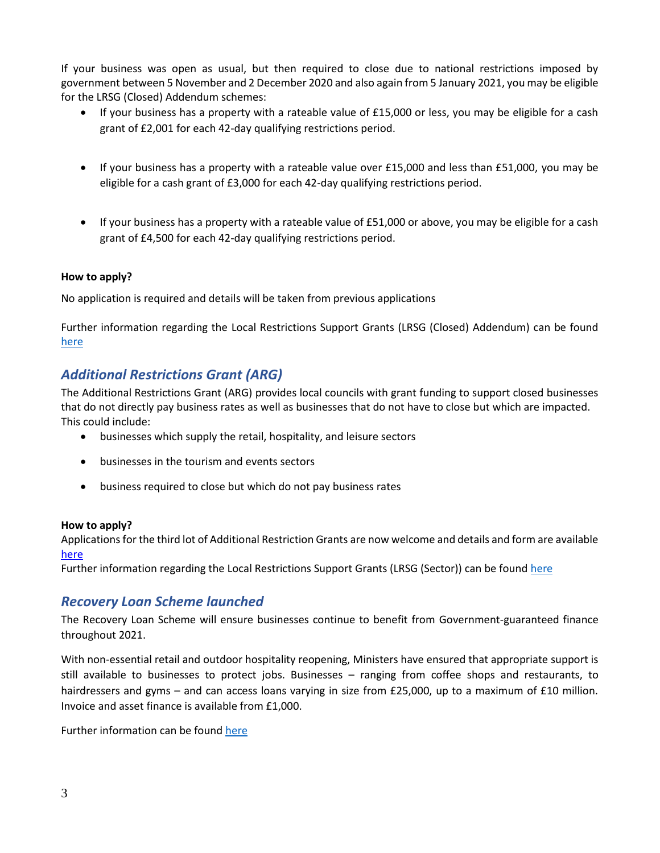If your business was open as usual, but then required to close due to national restrictions imposed by government between 5 November and 2 December 2020 and also again from 5 January 2021, you may be eligible for the LRSG (Closed) Addendum schemes:

- If your business has a property with a rateable value of £15,000 or less, you may be eligible for a cash grant of £2,001 for each 42-day qualifying restrictions period.
- If your business has a property with a rateable value over £15,000 and less than £51,000, you may be eligible for a cash grant of £3,000 for each 42-day qualifying restrictions period.
- If your business has a property with a rateable value of £51,000 or above, you may be eligible for a cash grant of £4,500 for each 42-day qualifying restrictions period.

#### **How to apply?**

No application is required and details will be taken from previous applications

Further information regarding the Local Restrictions Support Grants (LRSG (Closed) Addendum) can be found [here](https://www.gov.uk/guidance/check-if-your-business-is-eligible-for-a-coronavirus-grant-due-to-national-restrictions-for-closed-businesses?utm_medium=email&utm_campaign=govuk-notifications&utm_source=d3890105-6cfa-4be4-adca-92930c2b32bb&utm_content=daily)

# <span id="page-2-0"></span>*Additional Restrictions Grant (ARG)*

The Additional Restrictions Grant (ARG) provides local councils with grant funding to support closed businesses that do not directly pay business rates as well as businesses that do not have to close but which are impacted. This could include:

- businesses which supply the retail, hospitality, and leisure sectors
- businesses in the tourism and events sectors
- business required to close but which do not pay business rates

#### **How to apply?**

Applications for the third lot of Additional Restriction Grants are now welcome and details and form are available [here](https://m.luton.gov.uk/Page/Show/Health_and_social_care/coronavirus/business/Pages/additional-restrictions-grant.aspx)

Further information regarding the Local Restrictions Support Grants (LRSG (Sector)) can be found [here](https://www.gov.uk/guidance/check-if-youre-eligible-for-the-coronavirus-additional-restrictions-grant?utm_medium=email&utm_campaign=govuk-notifications&utm_source=a2fa1d9f-355f-4916-b2ea-4c811d08ea16&utm_content=daily)

#### <span id="page-2-1"></span>*Recovery Loan Scheme launched*

The Recovery Loan Scheme will ensure businesses continue to benefit from Government-guaranteed finance throughout 2021.

With non-essential retail and outdoor hospitality reopening, Ministers have ensured that appropriate support is still available to businesses to protect jobs. Businesses – ranging from coffee shops and restaurants, to hairdressers and gyms – and can access loans varying in size from £25,000, up to a maximum of £10 million. Invoice and asset finance is available from £1,000.

Further information can be found [here](https://www.gov.uk/government/news/recovery-loan-scheme-launches-today)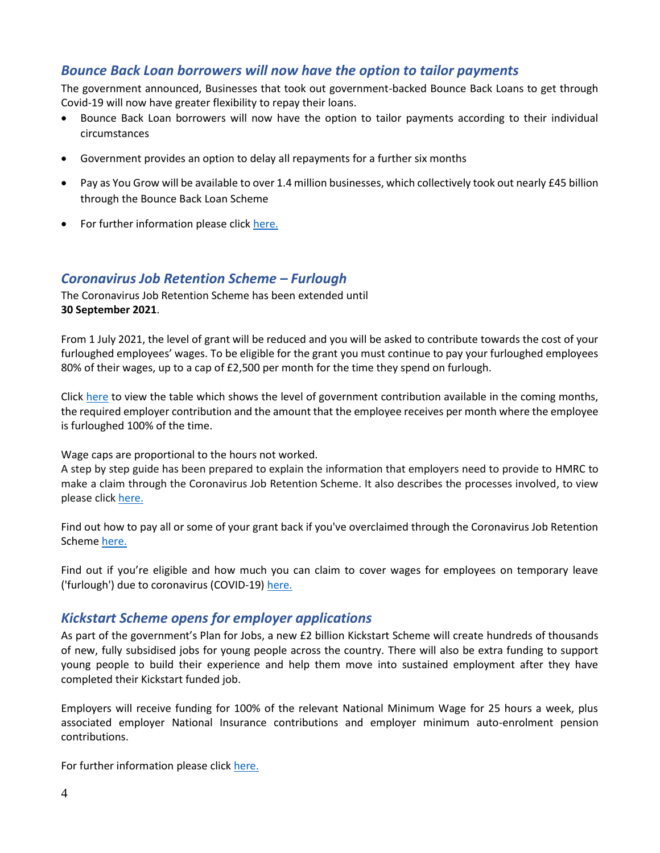## <span id="page-3-0"></span>*Bounce Back Loan borrowers will now have the option to tailor payments*

The government announced, Businesses that took out government-backed Bounce Back Loans to get through Covid-19 will now have greater flexibility to repay their loans.

- Bounce Back Loan borrowers will now have the option to tailor payments according to their individual circumstances
- Government provides an option to delay all repayments for a further six months
- Pay as You Grow will be available to over 1.4 million businesses, which collectively took out nearly £45 billion through the Bounce Back Loan Scheme
- For further information please click [here.](https://www.gov.uk/government/news/chancellor-eases-burden-on-more-than-a-million-businesses-through-pay-as-you-grow-flexible-repayment-options)

#### <span id="page-3-1"></span>*Coronavirus Job Retention Scheme – Furlough*

The Coronavirus Job Retention Scheme has been extended until **30 September 2021**.

From 1 July 2021, the level of grant will be reduced and you will be asked to contribute towards the cost of your furloughed employees' wages. To be eligible for the grant you must continue to pay your furloughed employees 80% of their wages, up to a cap of £2,500 per month for the time they spend on furlough.

Click [here](https://www.gov.uk/government/publications/changes-to-the-coronavirus-job-retention-scheme/changes-to-the-coronavirus-job-retention-scheme) to view the table which shows the level of government contribution available in the coming months, the required employer contribution and the amount that the employee receives per month where the employee is furloughed 100% of the time.

Wage caps are proportional to the hours not worked.

A step by step guide has been prepared to explain the information that employers need to provide to HMRC to make a claim through the Coronavirus Job Retention Scheme. It also describes the processes involved, to view please click [here.](https://assets.publishing.service.gov.uk/government/uploads/system/uploads/attachment_data/file/880376/Coronavirus_Job_Retention_Scheme_step_by_step_guide_for_employers.pdf)

Find out how to pay all or some of your grant back if you've overclaimed through the Coronavirus Job Retention Scheme [here.](https://www.gov.uk/guidance/pay-coronavirus-job-retention-scheme-grants-back?utm_source=d05d7002-4659-4a1a-9141-1a1eb85ced82&utm_medium=email&utm_campaign=govuk-notifications&utm_content=daily)

Find out if you're eligible and how much you can claim to cover wages for employees on temporary leave ('furlough') due to coronavirus (COVID-19) [here.](https://www.gov.uk/guidance/claim-for-wage-costs-through-the-coronavirus-job-retention-scheme)

#### <span id="page-3-2"></span>*Kickstart Scheme opens for employer applications*

As part of the government's [Plan for Jobs,](https://www.gov.uk/government/topical-events/a-plan-for-jobs-2020) a new £2 billion Kickstart Scheme will create hundreds of thousands of new, fully subsidised jobs for young people across the country. There will also be extra funding to support young people to build their experience and help them move into sustained employment after they have completed their Kickstart funded job.

Employers will receive funding for 100% of the relevant National Minimum Wage for 25 hours a week, plus associated employer National Insurance contributions and employer minimum auto-enrolment pension contributions.

For further information please click [here.](https://www.gov.uk/government/news/kickstart-scheme-opens-for-employer-applications?utm_source=133521b4-1c77-4d36-b5d3-468ceba5e905&utm_medium=email&utm_campaign=govuk-notifications&utm_content=daily)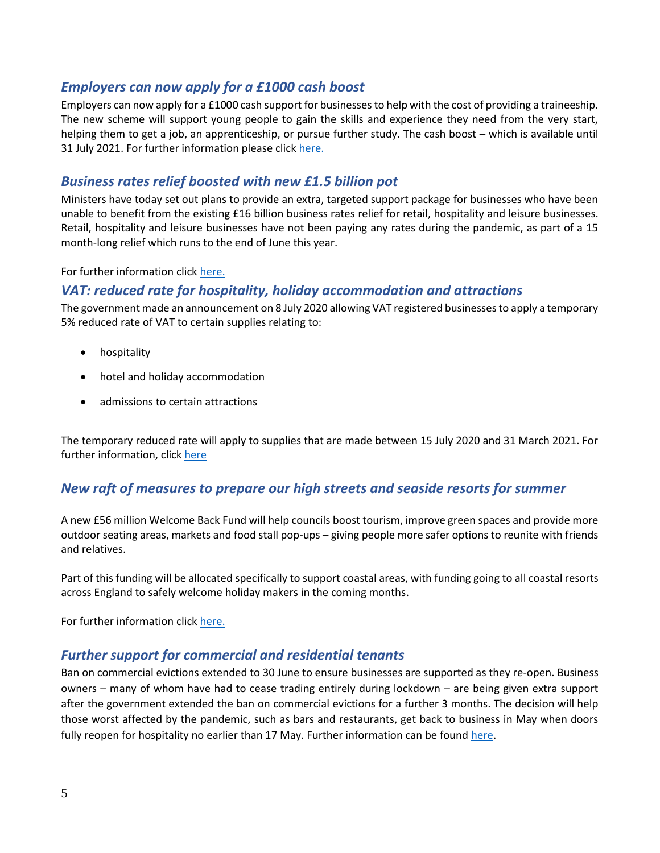## <span id="page-4-0"></span>*Employers can now [apply for a £1000 cash boost](https://www.gov.uk/government/publications/traineeship-employer-incentive-registration-form)*

Employers can now apply for a £1000 cash support for businesses to help with the cost of providing a traineeship. The new scheme will support young people to gain the skills and experience they need from the very start, helping them to get a job, an apprenticeship, or pursue further study. The cash boost – which is available until 31 July 2021. For further information please click [here.](https://www.gov.uk/government/news/funding-boost-to-get-young-people-get-into-work)

## <span id="page-4-1"></span>*Business rates relief boosted with new £1.5 billion pot*

Ministers have today set out plans to provide an extra, targeted support package for businesses who have been unable to benefit from the existing £16 billion business rates relief for retail, hospitality and leisure businesses. Retail, hospitality and leisure businesses have not been paying any rates during the pandemic, as part of a 15 month-long relief which runs to the end of June this year.

For further information clic[k here.](https://www.gov.uk/government/news/business-rates-relief-boosted-with-new-15-billion-pot)

#### <span id="page-4-2"></span>*VAT: reduced rate for hospitality, holiday accommodation and attractions*

The government made an announcement on 8 July 2020 allowing VAT registered businesses to apply a temporary 5% reduced rate of VAT to certain supplies relating to:

- hospitality
- hotel and holiday accommodation
- admissions to certain attractions

The temporary reduced rate will apply to supplies that are made between 15 July 2020 and 31 March 2021. For further information, click [here](https://www.gov.uk/guidance/vat-reduced-rate-for-hospitality-holiday-accommodation-and-attractionsions)

# <span id="page-4-3"></span>*New raft of measures to prepare our high streets and seaside resorts for summer*

A new £56 million Welcome Back Fund will help councils boost tourism, improve green spaces and provide more outdoor seating areas, markets and food stall pop-ups – giving people more safer options to reunite with friends and relatives.

Part of this funding will be allocated specifically to support coastal areas, with funding going to all coastal resorts across England to safely welcome holiday makers in the coming months.

For further information clic[k here.](https://www.gov.uk/government/news/new-raft-of-measures-to-prepare-our-high-streets-and-seaside-resorts-for-summer)

#### <span id="page-4-4"></span>*Further support for commercial and residential tenants*

Ban on commercial evictions extended to 30 June to ensure businesses are supported as they re-open. Business owners – many of whom have had to cease trading entirely during lockdown – are being given extra support after the government extended the ban on commercial evictions for a further 3 months. The decision will help those worst affected by the pandemic, such as bars and restaurants, get back to business in May when doors fully reopen for hospitality no earlier than 17 May. Further information can be found [here.](https://www.gov.uk/government/news/further-support-for-commercial-and-residential-tenants)